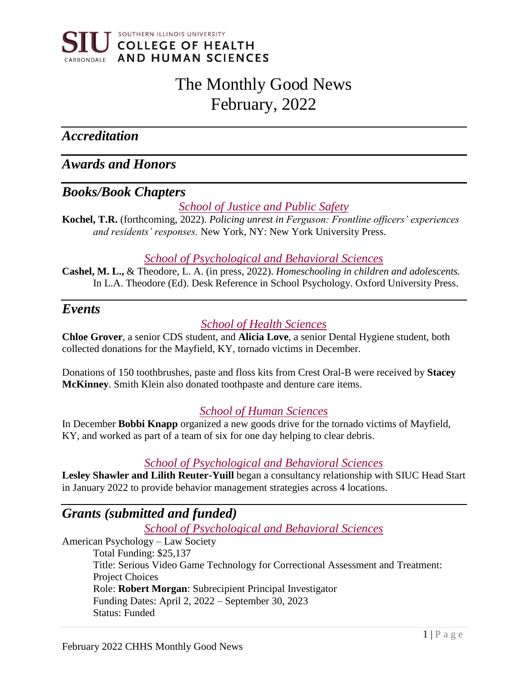

# The Monthly Good News February, 2022

*Accreditation* 

*Awards and Honors*

# *Books/Book Chapters*

*School of Justice and Public Safety*

**Kochel, T.R.** (forthcoming, 2022). *Policing unrest in Ferguson: Frontline officers' experiences and residents' responses.* New York, NY: New York University Press.

#### *School of Psychological and Behavioral Sciences*

**Cashel, M. L.,** & Theodore, L. A. (in press, 2022). *Homeschooling in children and adolescents.*  In L.A. Theodore (Ed). Desk Reference in School Psychology. Oxford University Press.

## *Events*

# *School of Health Sciences*

**Chloe Grover**, a senior CDS student, and **Alicia Love**, a senior Dental Hygiene student, both collected donations for the Mayfield, KY, tornado victims in December.

Donations of 150 toothbrushes, paste and floss kits from Crest Oral-B were received by **Stacey McKinney**. Smith Klein also donated toothpaste and denture care items.

## *School of Human Sciences*

In December **Bobbi Knapp** organized a new goods drive for the tornado victims of Mayfield, KY, and worked as part of a team of six for one day helping to clear debris.

## *School of Psychological and Behavioral Sciences*

**Lesley Shawler and Lilith Reuter-Yuill** began a consultancy relationship with SIUC Head Start in January 2022 to provide behavior management strategies across 4 locations.

# *Grants (submitted and funded)*

*School of Psychological and Behavioral Sciences*

American Psychology – Law Society Total Funding: \$25,137 Title: Serious Video Game Technology for Correctional Assessment and Treatment: Project Choices Role: **Robert Morgan**: Subrecipient Principal Investigator Funding Dates: April 2, 2022 – September 30, 2023 Status: Funded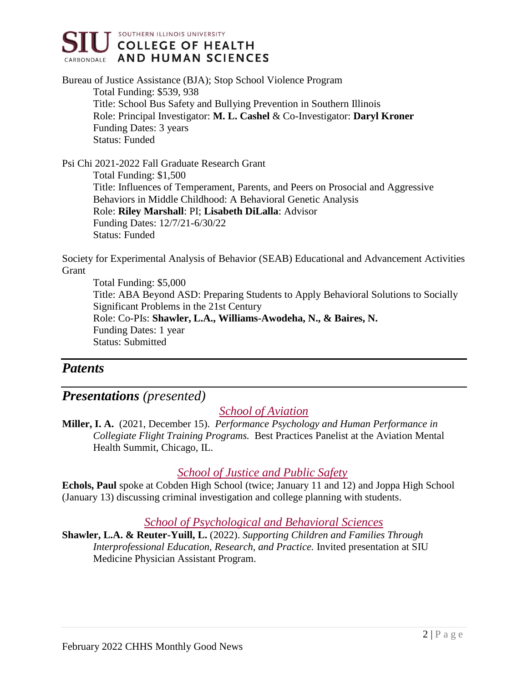

Bureau of Justice Assistance (BJA); Stop School Violence Program Total Funding: \$539, 938 Title: School Bus Safety and Bullying Prevention in Southern Illinois Role: Principal Investigator: **M. L. Cashel** & Co-Investigator: **Daryl Kroner** Funding Dates: 3 years Status: Funded

Psi Chi 2021-2022 Fall Graduate Research Grant Total Funding: \$1,500 Title: Influences of Temperament, Parents, and Peers on Prosocial and Aggressive Behaviors in Middle Childhood: A Behavioral Genetic Analysis Role: **Riley Marshall**: PI; **Lisabeth DiLalla**: Advisor Funding Dates: 12/7/21-6/30/22 Status: Funded

Society for Experimental Analysis of Behavior (SEAB) Educational and Advancement Activities Grant

Total Funding: \$5,000 Title: ABA Beyond ASD: Preparing Students to Apply Behavioral Solutions to Socially Significant Problems in the 21st Century Role: Co-PIs: **Shawler, L.A., Williams-Awodeha, N., & Baires, N.** Funding Dates: 1 year Status: Submitted

# *Patents*

# *Presentations (presented)*

## *School of Aviation*

**Miller, I. A.** (2021, December 15). *Performance Psychology and Human Performance in Collegiate Flight Training Programs.* Best Practices Panelist at the Aviation Mental Health Summit, Chicago, IL.

## *School of Justice and Public Safety*

**Echols, Paul** spoke at Cobden High School (twice; January 11 and 12) and Joppa High School (January 13) discussing criminal investigation and college planning with students.

## *School of Psychological and Behavioral Sciences*

**Shawler, L.A. & Reuter-Yuill, L.** (2022). *Supporting Children and Families Through Interprofessional Education, Research, and Practice.* Invited presentation at SIU Medicine Physician Assistant Program.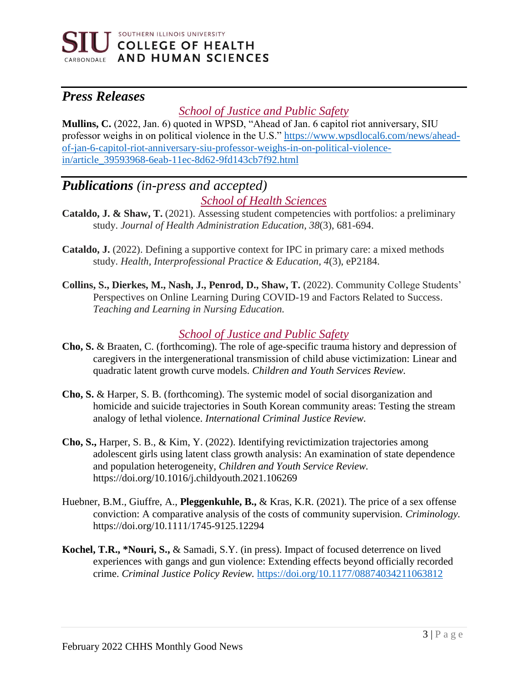

# *Press Releases*

## *School of Justice and Public Safety*

**Mullins, C.** (2022, Jan. 6) quoted in WPSD, "Ahead of Jan. 6 capitol riot anniversary, SIU professor weighs in on political violence in the U.S." [https://www.wpsdlocal6.com/news/ahead](https://www.wpsdlocal6.com/news/ahead-of-jan-6-capitol-riot-anniversary-siu-professor-weighs-in-on-political-violence-in/article_39593968-6eab-11ec-8d62-9fd143cb7f92.html)[of-jan-6-capitol-riot-anniversary-siu-professor-weighs-in-on-political-violence](https://www.wpsdlocal6.com/news/ahead-of-jan-6-capitol-riot-anniversary-siu-professor-weighs-in-on-political-violence-in/article_39593968-6eab-11ec-8d62-9fd143cb7f92.html)[in/article\\_39593968-6eab-11ec-8d62-9fd143cb7f92.html](https://www.wpsdlocal6.com/news/ahead-of-jan-6-capitol-riot-anniversary-siu-professor-weighs-in-on-political-violence-in/article_39593968-6eab-11ec-8d62-9fd143cb7f92.html)

# *Publications (in-press and accepted) School of Health Sciences*

- **Cataldo, J. & Shaw, T.** (2021). Assessing student competencies with portfolios: a preliminary study. *Journal of Health Administration Education, 38*(3), 681-694.
- **Cataldo, J.** (2022). Defining a supportive context for IPC in primary care: a mixed methods study. *Health, Interprofessional Practice & Education, 4*(3), eP2184.
- **Collins, S., Dierkes, M., Nash, J., Penrod, D., Shaw, T.** (2022). Community College Students' Perspectives on Online Learning During COVID-19 and Factors Related to Success. *Teaching and Learning in Nursing Education.*

# *School of Justice and Public Safety*

- **Cho, S.** & Braaten, C. (forthcoming). The role of age-specific trauma history and depression of caregivers in the intergenerational transmission of child abuse victimization: Linear and quadratic latent growth curve models. *Children and Youth Services Review.*
- **Cho, S.** & Harper, S. B. (forthcoming). The systemic model of social disorganization and homicide and suicide trajectories in South Korean community areas: Testing the stream analogy of lethal violence. *International Criminal Justice Review.*
- **Cho, S.,** Harper, S. B., & Kim, Y. (2022). Identifying revictimization trajectories among adolescent girls using latent class growth analysis: An examination of state dependence and population heterogeneity, *Children and Youth Service Review.* https://doi.org/10.1016/j.childyouth.2021.106269
- Huebner, B.M., Giuffre, A., **Pleggenkuhle, B.,** & Kras, K.R. (2021). The price of a sex offense conviction: A comparative analysis of the costs of community supervision. *Criminology.* https://doi.org/10.1111/1745-9125.12294
- **Kochel, T.R., \*Nouri, S.,** & Samadi, S.Y. (in press). Impact of focused deterrence on lived experiences with gangs and gun violence: Extending effects beyond officially recorded crime. *Criminal Justice Policy Review.* <https://doi.org/10.1177/08874034211063812>